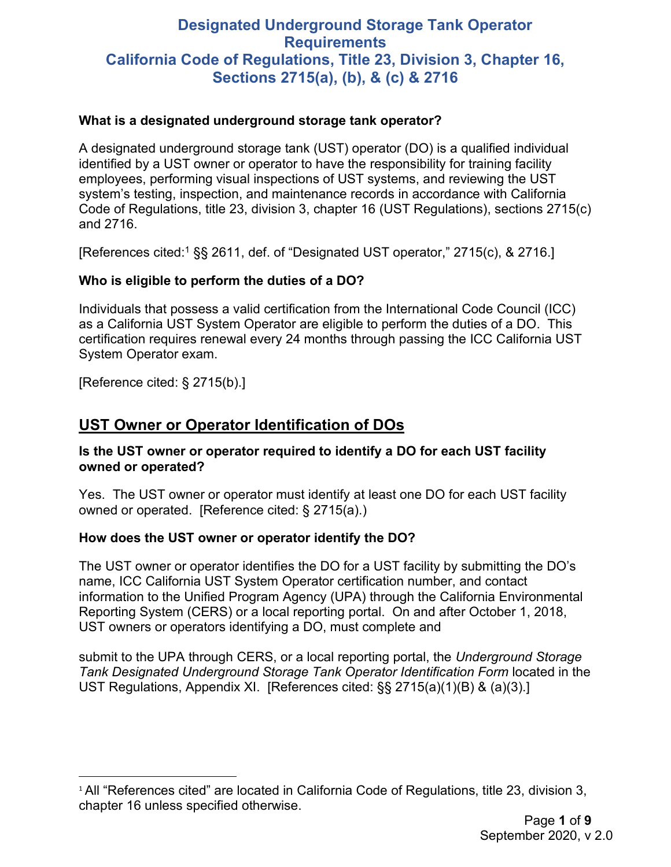# **Designated Underground Storage Tank Operator Requirements California Code of Regulations, Title 23, Division 3, Chapter 16, Sections 2715(a), (b), & (c) & 2716**

#### **What is a designated underground storage tank operator?**

A designated underground storage tank (UST) operator (DO) is a qualified individual identified by a UST owner or operator to have the responsibility for training facility employees, performing visual inspections of UST systems, and reviewing the UST system's testing, inspection, and maintenance records in accordance with California Code of Regulations, title 23, division 3, chapter 16 (UST Regulations), sections 2715(c) and 2716.

[References cited: [1](#page-0-0) §§ 2611, def. of "Designated UST operator," 2715(c), & 2716.]

## **Who is eligible to perform the duties of a DO?**

Individuals that possess a valid certification from the International Code Council (ICC) as a California UST System Operator are eligible to perform the duties of a DO. This certification requires renewal every 24 months through passing the ICC California UST System Operator exam.

[Reference cited: § 2715(b).]

## **UST Owner or Operator Identification of DOs**

#### **Is the UST owner or operator required to identify a DO for each UST facility owned or operated?**

Yes. The UST owner or operator must identify at least one DO for each UST facility owned or operated. [Reference cited: § 2715(a).)

#### **How does the UST owner or operator identify the DO?**

The UST owner or operator identifies the DO for a UST facility by submitting the DO's name, ICC California UST System Operator certification number, and contact information to the Unified Program Agency (UPA) through the California Environmental Reporting System (CERS) or a local reporting portal. On and after October 1, 2018, UST owners or operators identifying a DO, must complete and

submit to the UPA through CERS, or a local reporting portal, the *Underground Storage Tank Designated Underground Storage Tank Operator Identification Form* located in the UST Regulations, Appendix XI. [References cited: §§ 2715(a)(1)(B) & (a)(3).]

<span id="page-0-0"></span><sup>&</sup>lt;sup>1</sup> All "References cited" are located in California Code of Regulations, title 23, division 3, chapter 16 unless specified otherwise.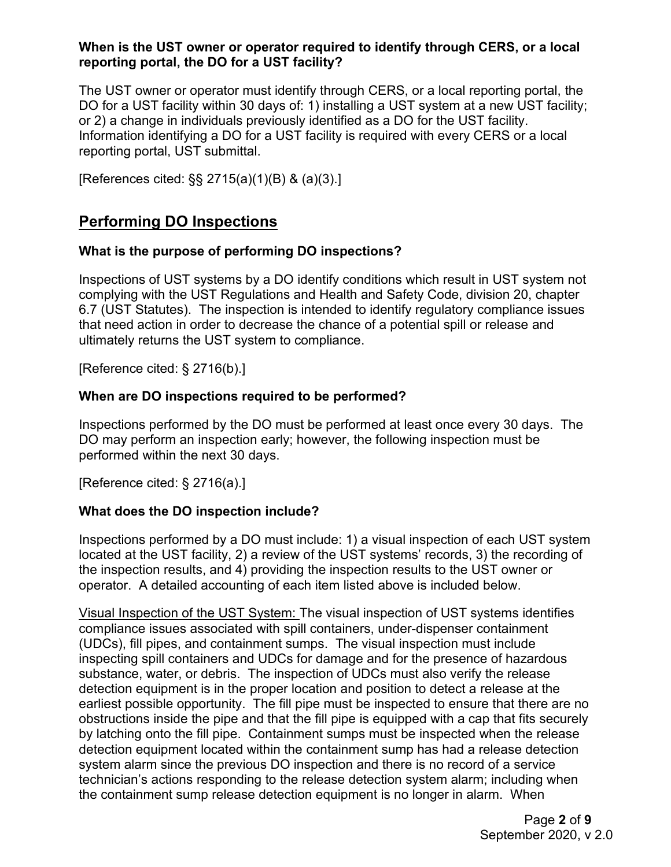#### **When is the UST owner or operator required to identify through CERS, or a local reporting portal, the DO for a UST facility?**

The UST owner or operator must identify through CERS, or a local reporting portal, the DO for a UST facility within 30 days of: 1) installing a UST system at a new UST facility; or 2) a change in individuals previously identified as a DO for the UST facility. Information identifying a DO for a UST facility is required with every CERS or a local reporting portal, UST submittal.

[References cited: §§ 2715(a)(1)(B) & (a)(3).]

## **Performing DO Inspections**

## **What is the purpose of performing DO inspections?**

Inspections of UST systems by a DO identify conditions which result in UST system not complying with the UST Regulations and Health and Safety Code, division 20, chapter 6.7 (UST Statutes). The inspection is intended to identify regulatory compliance issues that need action in order to decrease the chance of a potential spill or release and ultimately returns the UST system to compliance.

[Reference cited: § 2716(b).]

## **When are DO inspections required to be performed?**

Inspections performed by the DO must be performed at least once every 30 days. The DO may perform an inspection early; however, the following inspection must be performed within the next 30 days.

[Reference cited: § 2716(a).]

## **What does the DO inspection include?**

Inspections performed by a DO must include: 1) a visual inspection of each UST system located at the UST facility, 2) a review of the UST systems' records, 3) the recording of the inspection results, and 4) providing the inspection results to the UST owner or operator. A detailed accounting of each item listed above is included below.

Visual Inspection of the UST System: The visual inspection of UST systems identifies compliance issues associated with spill containers, under-dispenser containment (UDCs), fill pipes, and containment sumps. The visual inspection must include inspecting spill containers and UDCs for damage and for the presence of hazardous substance, water, or debris. The inspection of UDCs must also verify the release detection equipment is in the proper location and position to detect a release at the earliest possible opportunity. The fill pipe must be inspected to ensure that there are no obstructions inside the pipe and that the fill pipe is equipped with a cap that fits securely by latching onto the fill pipe. Containment sumps must be inspected when the release detection equipment located within the containment sump has had a release detection system alarm since the previous DO inspection and there is no record of a service technician's actions responding to the release detection system alarm; including when the containment sump release detection equipment is no longer in alarm. When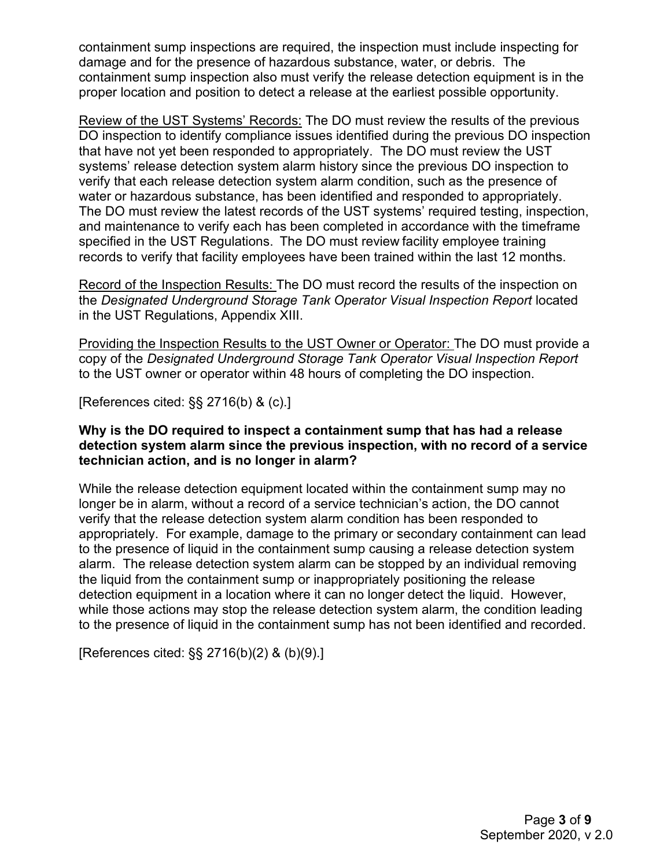containment sump inspections are required, the inspection must include inspecting for damage and for the presence of hazardous substance, water, or debris. The containment sump inspection also must verify the release detection equipment is in the proper location and position to detect a release at the earliest possible opportunity.

Review of the UST Systems' Records: The DO must review the results of the previous DO inspection to identify compliance issues identified during the previous DO inspection that have not yet been responded to appropriately. The DO must review the UST systems' release detection system alarm history since the previous DO inspection to verify that each release detection system alarm condition, such as the presence of water or hazardous substance, has been identified and responded to appropriately. The DO must review the latest records of the UST systems' required testing, inspection, and maintenance to verify each has been completed in accordance with the timeframe specified in the UST Regulations. The DO must review facility employee training records to verify that facility employees have been trained within the last 12 months.

Record of the Inspection Results: The DO must record the results of the inspection on the *Designated Underground Storage Tank Operator Visual Inspection Report* located in the UST Regulations, Appendix XIII.

Providing the Inspection Results to the UST Owner or Operator: The DO must provide a copy of the *Designated Underground Storage Tank Operator Visual Inspection Report*  to the UST owner or operator within 48 hours of completing the DO inspection.

[References cited: §§ 2716(b) & (c).]

#### **Why is the DO required to inspect a containment sump that has had a release detection system alarm since the previous inspection, with no record of a service technician action, and is no longer in alarm?**

While the release detection equipment located within the containment sump may no longer be in alarm, without a record of a service technician's action, the DO cannot verify that the release detection system alarm condition has been responded to appropriately. For example, damage to the primary or secondary containment can lead to the presence of liquid in the containment sump causing a release detection system alarm. The release detection system alarm can be stopped by an individual removing the liquid from the containment sump or inappropriately positioning the release detection equipment in a location where it can no longer detect the liquid. However, while those actions may stop the release detection system alarm, the condition leading to the presence of liquid in the containment sump has not been identified and recorded.

[References cited: §§ 2716(b)(2) & (b)(9).]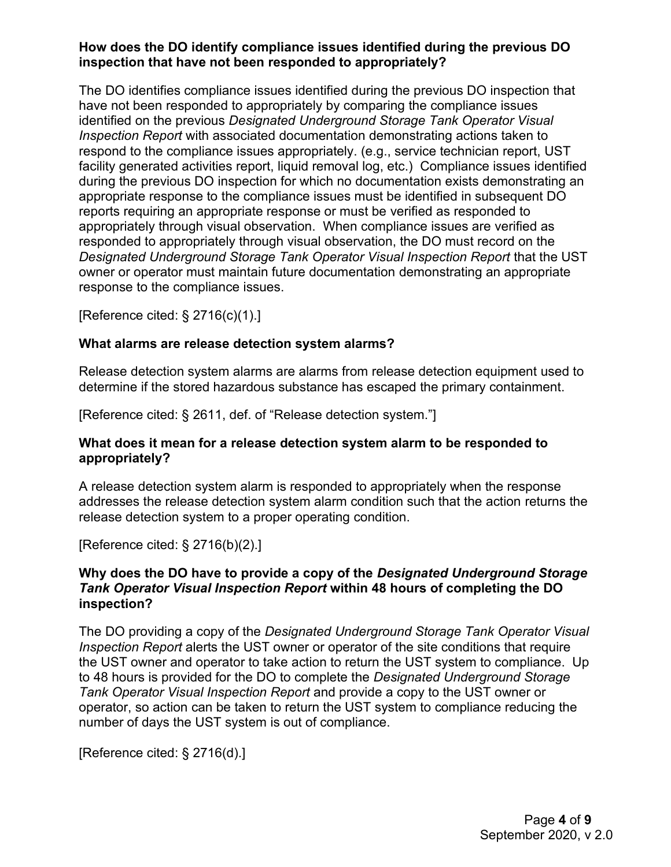#### **How does the DO identify compliance issues identified during the previous DO inspection that have not been responded to appropriately?**

The DO identifies compliance issues identified during the previous DO inspection that have not been responded to appropriately by comparing the compliance issues identified on the previous *Designated Underground Storage Tank Operator Visual Inspection Report* with associated documentation demonstrating actions taken to respond to the compliance issues appropriately. (e.g., service technician report, UST facility generated activities report, liquid removal log, etc.) Compliance issues identified during the previous DO inspection for which no documentation exists demonstrating an appropriate response to the compliance issues must be identified in subsequent DO reports requiring an appropriate response or must be verified as responded to appropriately through visual observation. When compliance issues are verified as responded to appropriately through visual observation, the DO must record on the *Designated Underground Storage Tank Operator Visual Inspection Report* that the UST owner or operator must maintain future documentation demonstrating an appropriate response to the compliance issues.

[Reference cited: § 2716(c)(1).]

## **What alarms are release detection system alarms?**

Release detection system alarms are alarms from release detection equipment used to determine if the stored hazardous substance has escaped the primary containment.

[Reference cited: § 2611, def. of "Release detection system."]

## **What does it mean for a release detection system alarm to be responded to appropriately?**

A release detection system alarm is responded to appropriately when the response addresses the release detection system alarm condition such that the action returns the release detection system to a proper operating condition.

[Reference cited: § 2716(b)(2).]

#### **Why does the DO have to provide a copy of the** *Designated Underground Storage Tank Operator Visual Inspection Report* **within 48 hours of completing the DO inspection?**

The DO providing a copy of the *Designated Underground Storage Tank Operator Visual Inspection Report* alerts the UST owner or operator of the site conditions that require the UST owner and operator to take action to return the UST system to compliance. Up to 48 hours is provided for the DO to complete the *Designated Underground Storage Tank Operator Visual Inspection Report* and provide a copy to the UST owner or operator, so action can be taken to return the UST system to compliance reducing the number of days the UST system is out of compliance.

[Reference cited: § 2716(d).]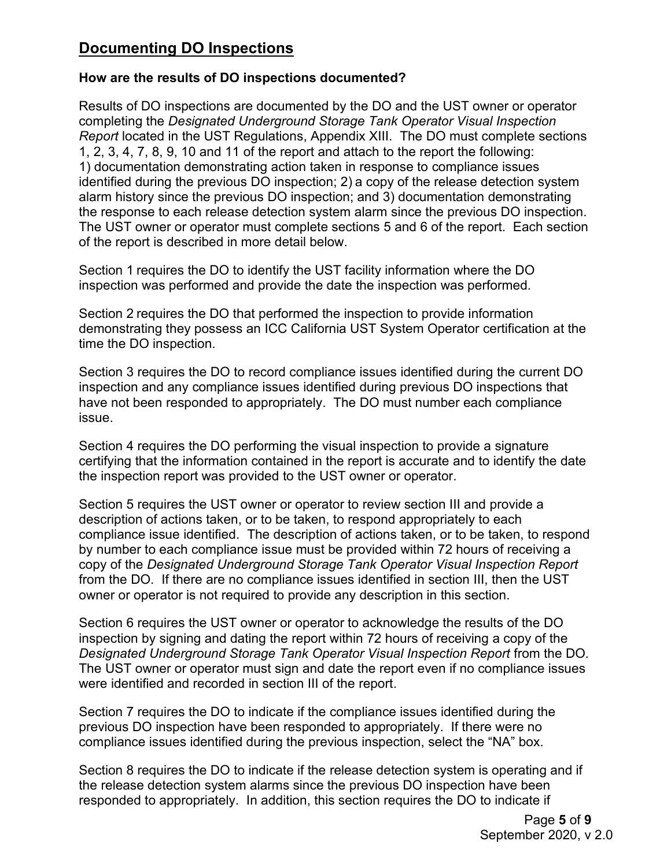# **Documenting DO Inspections**

## **How are the results of DO inspections documented?**

Results of DO inspections are documented by the DO and the UST owner or operator completing the *Designated Underground Storage Tank Operator Visual Inspection Report* located in the UST Regulations, Appendix XIII. The DO must complete sections 1, 2, 3, 4, 7, 8, 9, 10 and 11 of the report and attach to the report the following: 1) documentation demonstrating action taken in response to compliance issues identified during the previous DO inspection; 2) a copy of the release detection system alarm history since the previous DO inspection; and 3) documentation demonstrating the response to each release detection system alarm since the previous DO inspection. The UST owner or operator must complete sections 5 and 6 of the report. Each section of the report is described in more detail below.

Section 1 requires the DO to identify the UST facility information where the DO inspection was performed and provide the date the inspection was performed.

Section 2 requires the DO that performed the inspection to provide information demonstrating they possess an ICC California UST System Operator certification at the time the DO inspection.

Section 3 requires the DO to record compliance issues identified during the current DO inspection and any compliance issues identified during previous DO inspections that have not been responded to appropriately. The DO must number each compliance issue.

Section 4 requires the DO performing the visual inspection to provide a signature certifying that the information contained in the report is accurate and to identify the date the inspection report was provided to the UST owner or operator.

Section 5 requires the UST owner or operator to review section III and provide a description of actions taken, or to be taken, to respond appropriately to each compliance issue identified. The description of actions taken, or to be taken, to respond by number to each compliance issue must be provided within 72 hours of receiving a copy of the *Designated Underground Storage Tank Operator Visual Inspection Report*  from the DO. If there are no compliance issues identified in section III, then the UST owner or operator is not required to provide any description in this section.

Section 6 requires the UST owner or operator to acknowledge the results of the DO inspection by signing and dating the report within 72 hours of receiving a copy of the *Designated Underground Storage Tank Operator Visual Inspection Report* from the DO*.*  The UST owner or operator must sign and date the report even if no compliance issues were identified and recorded in section III of the report.

Section 7 requires the DO to indicate if the compliance issues identified during the previous DO inspection have been responded to appropriately. If there were no compliance issues identified during the previous inspection, select the "NA" box.

Section 8 requires the DO to indicate if the release detection system is operating and if the release detection system alarms since the previous DO inspection have been responded to appropriately. In addition, this section requires the DO to indicate if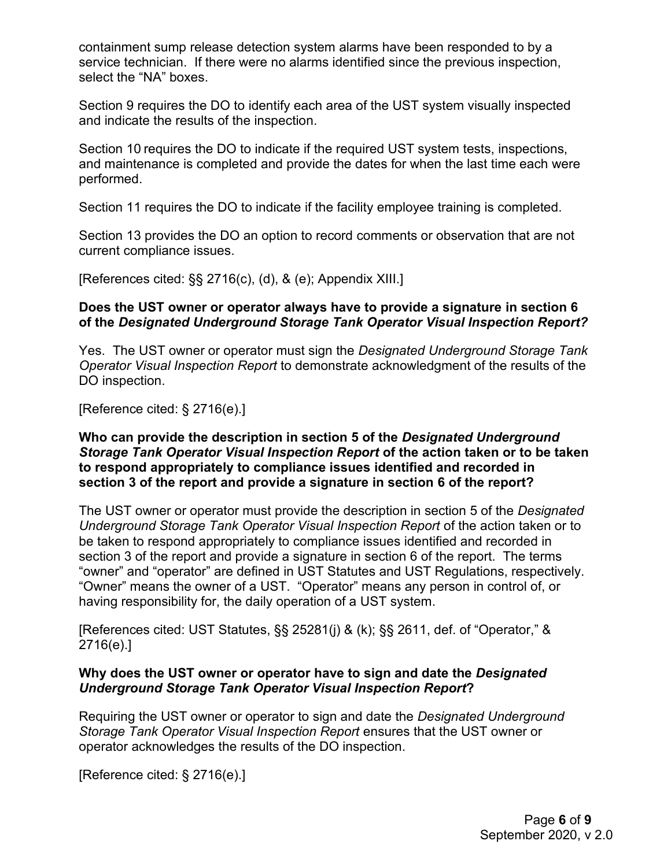containment sump release detection system alarms have been responded to by a service technician. If there were no alarms identified since the previous inspection, select the "NA" boxes.

Section 9 requires the DO to identify each area of the UST system visually inspected and indicate the results of the inspection.

Section 10 requires the DO to indicate if the required UST system tests, inspections, and maintenance is completed and provide the dates for when the last time each were performed.

Section 11 requires the DO to indicate if the facility employee training is completed.

Section 13 provides the DO an option to record comments or observation that are not current compliance issues.

[References cited: §§ 2716(c), (d), & (e); Appendix XIII.]

#### **Does the UST owner or operator always have to provide a signature in section 6 of the** *Designated Underground Storage Tank Operator Visual Inspection Report?*

Yes. The UST owner or operator must sign the *Designated Underground Storage Tank Operator Visual Inspection Report* to demonstrate acknowledgment of the results of the DO inspection.

[Reference cited: § 2716(e).]

#### **Who can provide the description in section 5 of the** *Designated Underground Storage Tank Operator Visual Inspection Report* **of the action taken or to be taken to respond appropriately to compliance issues identified and recorded in section 3 of the report and provide a signature in section 6 of the report?**

The UST owner or operator must provide the description in section 5 of the *Designated Underground Storage Tank Operator Visual Inspection Report* of the action taken or to be taken to respond appropriately to compliance issues identified and recorded in section 3 of the report and provide a signature in section 6 of the report. The terms "owner" and "operator" are defined in UST Statutes and UST Regulations, respectively. "Owner" means the owner of a UST. "Operator" means any person in control of, or having responsibility for, the daily operation of a UST system.

[References cited: UST Statutes, §§ 25281(j) & (k); §§ 2611, def. of "Operator," & 2716(e).]

#### **Why does the UST owner or operator have to sign and date the** *Designated Underground Storage Tank Operator Visual Inspection Report***?**

Requiring the UST owner or operator to sign and date the *Designated Underground Storage Tank Operator Visual Inspection Report* ensures that the UST owner or operator acknowledges the results of the DO inspection.

[Reference cited: § 2716(e).]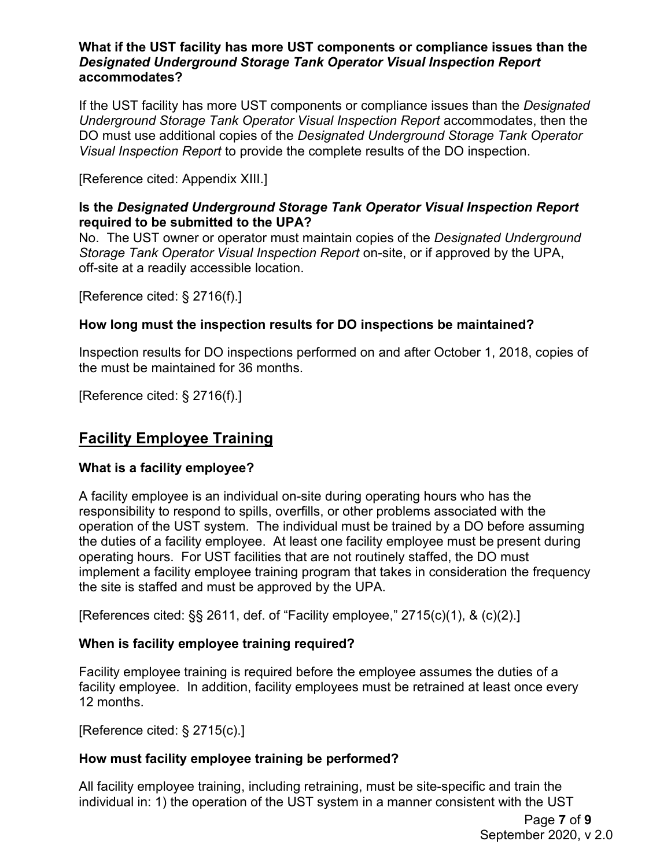#### **What if the UST facility has more UST components or compliance issues than the** *Designated Underground Storage Tank Operator Visual Inspection Report* **accommodates?**

If the UST facility has more UST components or compliance issues than the *Designated Underground Storage Tank Operator Visual Inspection Report* accommodates, then the DO must use additional copies of the *Designated Underground Storage Tank Operator Visual Inspection Report* to provide the complete results of the DO inspection.

[Reference cited: Appendix XIII.]

## **Is the** *Designated Underground Storage Tank Operator Visual Inspection Report* **required to be submitted to the UPA?**

No. The UST owner or operator must maintain copies of the *Designated Underground Storage Tank Operator Visual Inspection Report* on-site, or if approved by the UPA, off-site at a readily accessible location.

[Reference cited: § 2716(f).]

## **How long must the inspection results for DO inspections be maintained?**

Inspection results for DO inspections performed on and after October 1, 2018, copies of the must be maintained for 36 months.

[Reference cited: § 2716(f).]

# **Facility Employee Training**

## **What is a facility employee?**

A facility employee is an individual on-site during operating hours who has the responsibility to respond to spills, overfills, or other problems associated with the operation of the UST system. The individual must be trained by a DO before assuming the duties of a facility employee. At least one facility employee must be present during operating hours. For UST facilities that are not routinely staffed, the DO must implement a facility employee training program that takes in consideration the frequency the site is staffed and must be approved by the UPA.

[References cited: §§ 2611, def. of "Facility employee," 2715(c)(1), & (c)(2).]

## **When is facility employee training required?**

Facility employee training is required before the employee assumes the duties of a facility employee. In addition, facility employees must be retrained at least once every 12 months.

[Reference cited: § 2715(c).]

## **How must facility employee training be performed?**

All facility employee training, including retraining, must be site-specific and train the individual in: 1) the operation of the UST system in a manner consistent with the UST

> Page **7** of **9** September 2020, v 2.0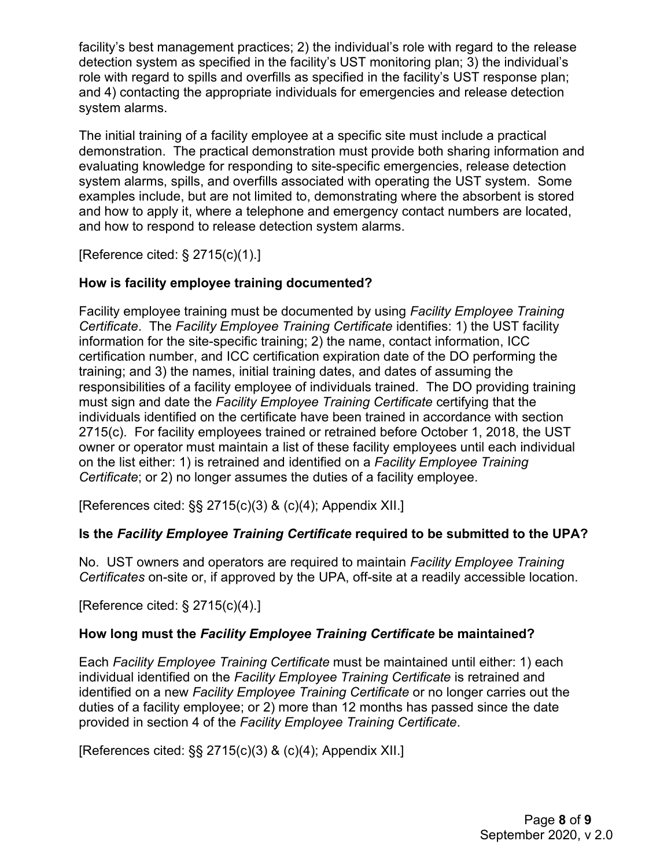facility's best management practices; 2) the individual's role with regard to the release detection system as specified in the facility's UST monitoring plan; 3) the individual's role with regard to spills and overfills as specified in the facility's UST response plan; and 4) contacting the appropriate individuals for emergencies and release detection system alarms.

The initial training of a facility employee at a specific site must include a practical demonstration. The practical demonstration must provide both sharing information and evaluating knowledge for responding to site-specific emergencies, release detection system alarms, spills, and overfills associated with operating the UST system. Some examples include, but are not limited to, demonstrating where the absorbent is stored and how to apply it, where a telephone and emergency contact numbers are located, and how to respond to release detection system alarms.

[Reference cited: § 2715(c)(1).]

## **How is facility employee training documented?**

Facility employee training must be documented by using *Facility Employee Training Certificate*. The *Facility Employee Training Certificate* identifies: 1) the UST facility information for the site-specific training; 2) the name, contact information, ICC certification number, and ICC certification expiration date of the DO performing the training; and 3) the names, initial training dates, and dates of assuming the responsibilities of a facility employee of individuals trained. The DO providing training must sign and date the *Facility Employee Training Certificate* certifying that the individuals identified on the certificate have been trained in accordance with section 2715(c). For facility employees trained or retrained before October 1, 2018, the UST owner or operator must maintain a list of these facility employees until each individual on the list either: 1) is retrained and identified on a *Facility Employee Training Certificate*; or 2) no longer assumes the duties of a facility employee.

[References cited: §§ 2715(c)(3) & (c)(4); Appendix XII.]

## **Is the** *Facility Employee Training Certificate* **required to be submitted to the UPA?**

No. UST owners and operators are required to maintain *Facility Employee Training Certificates* on-site or, if approved by the UPA, off-site at a readily accessible location.

[Reference cited: § 2715(c)(4).]

## **How long must the** *Facility Employee Training Certificate* **be maintained?**

Each *Facility Employee Training Certificate* must be maintained until either: 1) each individual identified on the *Facility Employee Training Certificate* is retrained and identified on a new *Facility Employee Training Certificate* or no longer carries out the duties of a facility employee; or 2) more than 12 months has passed since the date provided in section 4 of the *Facility Employee Training Certificate*.

[References cited: §§ 2715(c)(3) & (c)(4); Appendix XII.]